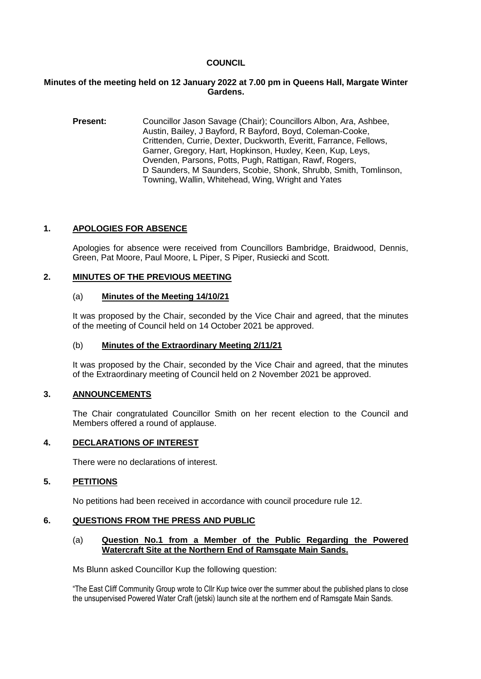### **COUNCIL**

### **Minutes of the meeting held on 12 January 2022 at 7.00 pm in Queens Hall, Margate Winter Gardens.**

**Present:** Councillor Jason Savage (Chair); Councillors Albon, Ara, Ashbee, Austin, Bailey, J Bayford, R Bayford, Boyd, Coleman-Cooke, Crittenden, Currie, Dexter, Duckworth, Everitt, Farrance, Fellows, Garner, Gregory, Hart, Hopkinson, Huxley, Keen, Kup, Leys, Ovenden, Parsons, Potts, Pugh, Rattigan, Rawf, Rogers, D Saunders, M Saunders, Scobie, Shonk, Shrubb, Smith, Tomlinson, Towning, Wallin, Whitehead, Wing, Wright and Yates

### **1. APOLOGIES FOR ABSENCE**

Apologies for absence were received from Councillors Bambridge, Braidwood, Dennis, Green, Pat Moore, Paul Moore, L Piper, S Piper, Rusiecki and Scott.

### **2. MINUTES OF THE PREVIOUS MEETING**

### (a) **Minutes of the Meeting 14/10/21**

It was proposed by the Chair, seconded by the Vice Chair and agreed, that the minutes of the meeting of Council held on 14 October 2021 be approved.

### (b) **Minutes of the Extraordinary Meeting 2/11/21**

It was proposed by the Chair, seconded by the Vice Chair and agreed, that the minutes of the Extraordinary meeting of Council held on 2 November 2021 be approved.

### **3. ANNOUNCEMENTS**

The Chair congratulated Councillor Smith on her recent election to the Council and Members offered a round of applause.

## **4. DECLARATIONS OF INTEREST**

There were no declarations of interest.

### **5. PETITIONS**

No petitions had been received in accordance with council procedure rule 12.

#### **6. QUESTIONS FROM THE PRESS AND PUBLIC**

#### (a) **Question No.1 from a Member of the Public Regarding the Powered Watercraft Site at the Northern End of Ramsgate Main Sands.**

Ms Blunn asked Councillor Kup the following question:

"The East Cliff Community Group wrote to Cllr Kup twice over the summer about the published plans to close the unsupervised Powered Water Craft (jetski) launch site at the northern end of Ramsgate Main Sands.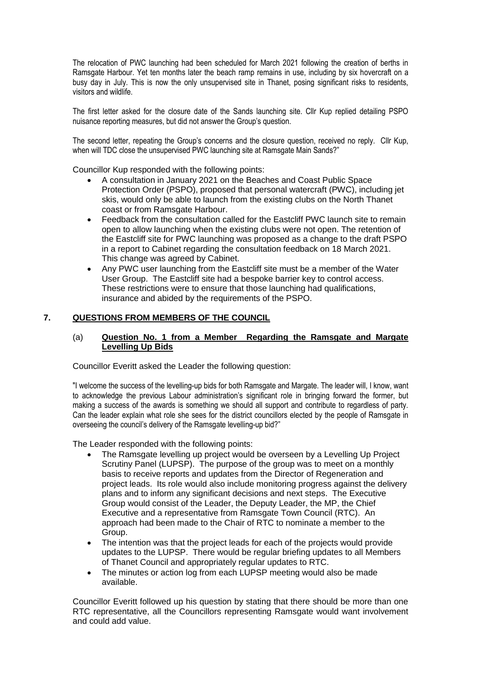The relocation of PWC launching had been scheduled for March 2021 following the creation of berths in Ramsgate Harbour. Yet ten months later the beach ramp remains in use, including by six hovercraft on a busy day in July. This is now the only unsupervised site in Thanet, posing significant risks to residents, visitors and wildlife.

The first letter asked for the closure date of the Sands launching site. Cllr Kup replied detailing PSPO nuisance reporting measures, but did not answer the Group's question.

The second letter, repeating the Group's concerns and the closure question, received no reply. Cllr Kup, when will TDC close the unsupervised PWC launching site at Ramsgate Main Sands?"

Councillor Kup responded with the following points:

- A consultation in January 2021 on the Beaches and Coast Public Space Protection Order (PSPO), proposed that personal watercraft (PWC), including jet skis, would only be able to launch from the existing clubs on the North Thanet coast or from Ramsgate Harbour.
- Feedback from the consultation called for the Eastcliff PWC launch site to remain open to allow launching when the existing clubs were not open. The retention of the Eastcliff site for PWC launching was proposed as a change to the draft PSPO in a report to Cabinet regarding the consultation feedback on 18 March 2021. This change was agreed by Cabinet.
- Any PWC user launching from the Eastcliff site must be a member of the Water User Group. The Eastcliff site had a bespoke barrier key to control access. These restrictions were to ensure that those launching had qualifications, insurance and abided by the requirements of the PSPO.

### **7. QUESTIONS FROM MEMBERS OF THE COUNCIL**

### (a) **Question No. 1 from a Member Regarding the Ramsgate and Margate Levelling Up Bids**

Councillor Everitt asked the Leader the following question:

"I welcome the success of the levelling-up bids for both Ramsgate and Margate. The leader will, I know, want to acknowledge the previous Labour administration's significant role in bringing forward the former, but making a success of the awards is something we should all support and contribute to regardless of party. Can the leader explain what role she sees for the district councillors elected by the people of Ramsgate in overseeing the council's delivery of the Ramsgate levelling-up bid?"

The Leader responded with the following points:

- The Ramsgate levelling up project would be overseen by a Levelling Up Project Scrutiny Panel (LUPSP). The purpose of the group was to meet on a monthly basis to receive reports and updates from the Director of Regeneration and project leads. Its role would also include monitoring progress against the delivery plans and to inform any significant decisions and next steps. The Executive Group would consist of the Leader, the Deputy Leader, the MP, the Chief Executive and a representative from Ramsgate Town Council (RTC). An approach had been made to the Chair of RTC to nominate a member to the Group.
- The intention was that the project leads for each of the projects would provide updates to the LUPSP. There would be regular briefing updates to all Members of Thanet Council and appropriately regular updates to RTC.
- The minutes or action log from each LUPSP meeting would also be made available.

Councillor Everitt followed up his question by stating that there should be more than one RTC representative, all the Councillors representing Ramsgate would want involvement and could add value.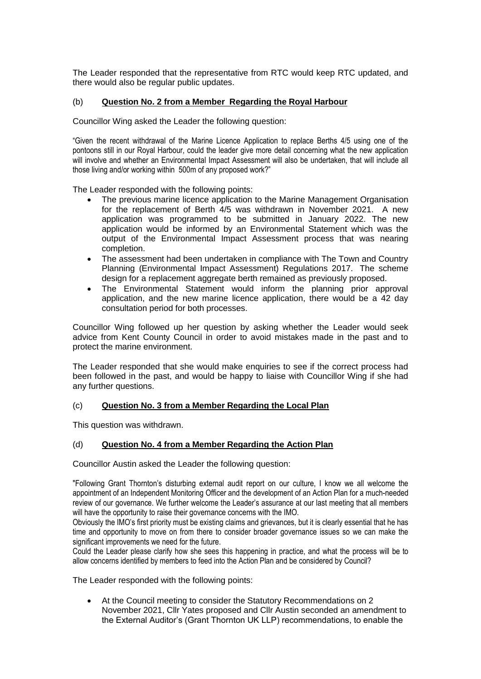The Leader responded that the representative from RTC would keep RTC updated, and there would also be regular public updates.

## (b) **Question No. 2 from a Member Regarding the Royal Harbour**

Councillor Wing asked the Leader the following question:

"Given the recent withdrawal of the Marine Licence Application to replace Berths 4/5 using one of the pontoons still in our Royal Harbour, could the leader give more detail concerning what the new application will involve and whether an Environmental Impact Assessment will also be undertaken, that will include all those living and/or working within 500m of any proposed work?"

The Leader responded with the following points:

- The previous marine licence application to the Marine Management Organisation for the replacement of Berth 4/5 was withdrawn in November 2021. A new application was programmed to be submitted in January 2022. The new application would be informed by an Environmental Statement which was the output of the Environmental Impact Assessment process that was nearing completion.
- The assessment had been undertaken in compliance with The Town and Country Planning (Environmental Impact Assessment) Regulations 2017. The scheme design for a replacement aggregate berth remained as previously proposed.
- The Environmental Statement would inform the planning prior approval application, and the new marine licence application, there would be a 42 day consultation period for both processes.

Councillor Wing followed up her question by asking whether the Leader would seek advice from Kent County Council in order to avoid mistakes made in the past and to protect the marine environment.

The Leader responded that she would make enquiries to see if the correct process had been followed in the past, and would be happy to liaise with Councillor Wing if she had any further questions.

### (c) **Question No. 3 from a Member Regarding the Local Plan**

This question was withdrawn.

### (d) **Question No. 4 from a Member Regarding the Action Plan**

Councillor Austin asked the Leader the following question:

"Following Grant Thornton's disturbing external audit report on our culture, I know we all welcome the appointment of an Independent Monitoring Officer and the development of an Action Plan for a much-needed review of our governance. We further welcome the Leader's assurance at our last meeting that all members will have the opportunity to raise their governance concerns with the IMO.

Obviously the IMO's first priority must be existing claims and grievances, but it is clearly essential that he has time and opportunity to move on from there to consider broader governance issues so we can make the significant improvements we need for the future.

Could the Leader please clarify how she sees this happening in practice, and what the process will be to allow concerns identified by members to feed into the Action Plan and be considered by Council?

The Leader responded with the following points:

 At the Council meeting to consider the Statutory Recommendations on 2 November 2021, Cllr Yates proposed and Cllr Austin seconded an amendment to the External Auditor's (Grant Thornton UK LLP) recommendations, to enable the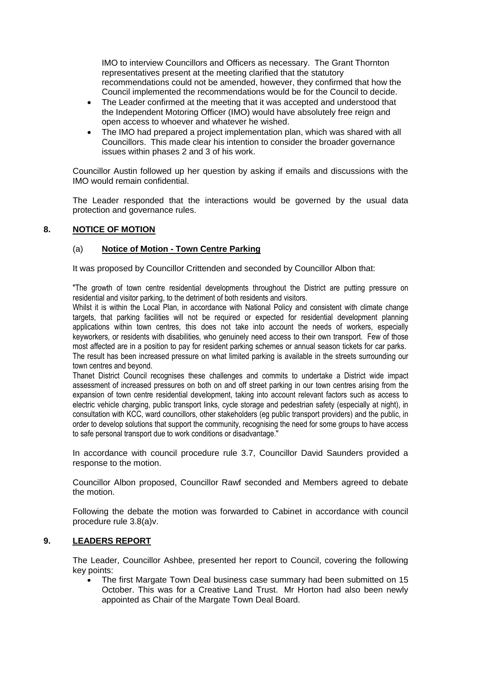IMO to interview Councillors and Officers as necessary. The Grant Thornton representatives present at the meeting clarified that the statutory recommendations could not be amended, however, they confirmed that how the Council implemented the recommendations would be for the Council to decide.

- The Leader confirmed at the meeting that it was accepted and understood that the Independent Motoring Officer (IMO) would have absolutely free reign and open access to whoever and whatever he wished.
- The IMO had prepared a project implementation plan, which was shared with all Councillors. This made clear his intention to consider the broader governance issues within phases 2 and 3 of his work.

Councillor Austin followed up her question by asking if emails and discussions with the IMO would remain confidential.

The Leader responded that the interactions would be governed by the usual data protection and governance rules.

## **8. NOTICE OF MOTION**

## (a) **Notice of Motion - Town Centre Parking**

It was proposed by Councillor Crittenden and seconded by Councillor Albon that:

"The growth of town centre residential developments throughout the District are putting pressure on residential and visitor parking, to the detriment of both residents and visitors.

Whilst it is within the Local Plan, in accordance with National Policy and consistent with climate change targets, that parking facilities will not be required or expected for residential development planning applications within town centres, this does not take into account the needs of workers, especially keyworkers, or residents with disabilities, who genuinely need access to their own transport. Few of those most affected are in a position to pay for resident parking schemes or annual season tickets for car parks. The result has been increased pressure on what limited parking is available in the streets surrounding our town centres and beyond.

Thanet District Council recognises these challenges and commits to undertake a District wide impact assessment of increased pressures on both on and off street parking in our town centres arising from the expansion of town centre residential development, taking into account relevant factors such as access to electric vehicle charging, public transport links, cycle storage and pedestrian safety (especially at night), in consultation with KCC, ward councillors, other stakeholders (eg public transport providers) and the public, in order to develop solutions that support the community, recognising the need for some groups to have access to safe personal transport due to work conditions or disadvantage."

In accordance with council procedure rule 3.7, Councillor David Saunders provided a response to the motion.

Councillor Albon proposed, Councillor Rawf seconded and Members agreed to debate the motion.

Following the debate the motion was forwarded to Cabinet in accordance with council procedure rule 3.8(a)v.

### **9. LEADERS REPORT**

The Leader, Councillor Ashbee, presented her report to Council, covering the following key points:

 The first Margate Town Deal business case summary had been submitted on 15 October. This was for a Creative Land Trust. Mr Horton had also been newly appointed as Chair of the Margate Town Deal Board.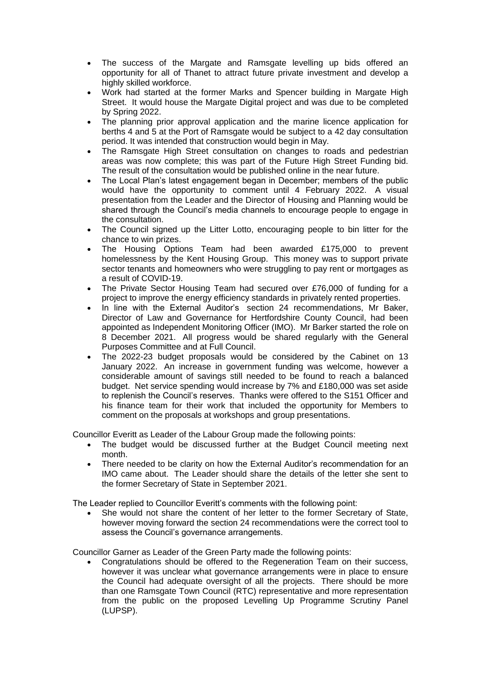- The success of the Margate and Ramsgate levelling up bids offered an opportunity for all of Thanet to attract future private investment and develop a highly skilled workforce.
- Work had started at the former Marks and Spencer building in Margate High Street. It would house the Margate Digital project and was due to be completed by Spring 2022.
- The planning prior approval application and the marine licence application for berths 4 and 5 at the Port of Ramsgate would be subject to a 42 day consultation period. It was intended that construction would begin in May.
- The Ramsgate High Street consultation on changes to roads and pedestrian areas was now complete; this was part of the Future High Street Funding bid. The result of the consultation would be published online in the near future.
- The Local Plan's latest engagement began in December; members of the public would have the opportunity to comment until 4 February 2022. A visual presentation from the Leader and the Director of Housing and Planning would be shared through the Council's media channels to encourage people to engage in the consultation.
- The Council signed up the Litter Lotto, encouraging people to bin litter for the chance to win prizes.
- The Housing Options Team had been awarded £175,000 to prevent homelessness by the Kent Housing Group. This money was to support private sector tenants and homeowners who were struggling to pay rent or mortgages as a result of COVID-19.
- The Private Sector Housing Team had secured over £76,000 of funding for a project to improve the energy efficiency standards in privately rented properties.
- In line with the External Auditor's section 24 recommendations, Mr Baker, Director of Law and Governance for Hertfordshire County Council, had been appointed as Independent Monitoring Officer (IMO). Mr Barker started the role on 8 December 2021. All progress would be shared regularly with the General Purposes Committee and at Full Council.
- The 2022-23 budget proposals would be considered by the Cabinet on 13 January 2022. An increase in government funding was welcome, however a considerable amount of savings still needed to be found to reach a balanced budget. Net service spending would increase by 7% and £180,000 was set aside to replenish the Council's reserves. Thanks were offered to the S151 Officer and his finance team for their work that included the opportunity for Members to comment on the proposals at workshops and group presentations.

Councillor Everitt as Leader of the Labour Group made the following points:

- The budget would be discussed further at the Budget Council meeting next month.
- There needed to be clarity on how the External Auditor's recommendation for an IMO came about. The Leader should share the details of the letter she sent to the former Secretary of State in September 2021.

The Leader replied to Councillor Everitt's comments with the following point:

 She would not share the content of her letter to the former Secretary of State, however moving forward the section 24 recommendations were the correct tool to assess the Council's governance arrangements.

Councillor Garner as Leader of the Green Party made the following points:

 Congratulations should be offered to the Regeneration Team on their success, however it was unclear what governance arrangements were in place to ensure the Council had adequate oversight of all the projects. There should be more than one Ramsgate Town Council (RTC) representative and more representation from the public on the proposed Levelling Up Programme Scrutiny Panel (LUPSP).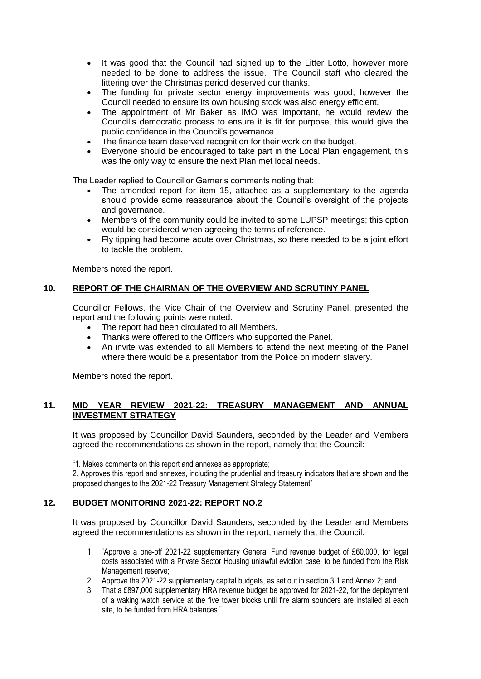- It was good that the Council had signed up to the Litter Lotto, however more needed to be done to address the issue. The Council staff who cleared the littering over the Christmas period deserved our thanks.
- The funding for private sector energy improvements was good, however the Council needed to ensure its own housing stock was also energy efficient.
- The appointment of Mr Baker as IMO was important, he would review the Council's democratic process to ensure it is fit for purpose, this would give the public confidence in the Council's governance.
- The finance team deserved recognition for their work on the budget.
- Everyone should be encouraged to take part in the Local Plan engagement, this was the only way to ensure the next Plan met local needs.

The Leader replied to Councillor Garner's comments noting that:

- The amended report for item 15, attached as a supplementary to the agenda should provide some reassurance about the Council's oversight of the projects and governance.
- Members of the community could be invited to some LUPSP meetings; this option would be considered when agreeing the terms of reference.
- Fly tipping had become acute over Christmas, so there needed to be a joint effort to tackle the problem.

Members noted the report.

### **10. REPORT OF THE CHAIRMAN OF THE OVERVIEW AND SCRUTINY PANEL**

Councillor Fellows, the Vice Chair of the Overview and Scrutiny Panel, presented the report and the following points were noted:

- The report had been circulated to all Members.
- Thanks were offered to the Officers who supported the Panel.
- An invite was extended to all Members to attend the next meeting of the Panel where there would be a presentation from the Police on modern slavery.

Members noted the report.

### **11. MID YEAR REVIEW 2021-22: TREASURY MANAGEMENT AND ANNUAL INVESTMENT STRATEGY**

It was proposed by Councillor David Saunders, seconded by the Leader and Members agreed the recommendations as shown in the report, namely that the Council:

"1. Makes comments on this report and annexes as appropriate;

2. Approves this report and annexes, including the prudential and treasury indicators that are shown and the proposed changes to the 2021-22 Treasury Management Strategy Statement"

### **12. BUDGET MONITORING 2021-22: REPORT NO.2**

It was proposed by Councillor David Saunders, seconded by the Leader and Members agreed the recommendations as shown in the report, namely that the Council:

- 1. "Approve a one-off 2021-22 supplementary General Fund revenue budget of £60,000, for legal costs associated with a Private Sector Housing unlawful eviction case, to be funded from the Risk Management reserve;
- 2. Approve the 2021-22 supplementary capital budgets, as set out in section 3.1 and Annex 2; and
- 3. That a £897,000 supplementary HRA revenue budget be approved for 2021-22, for the deployment of a waking watch service at the five tower blocks until fire alarm sounders are installed at each site, to be funded from HRA balances."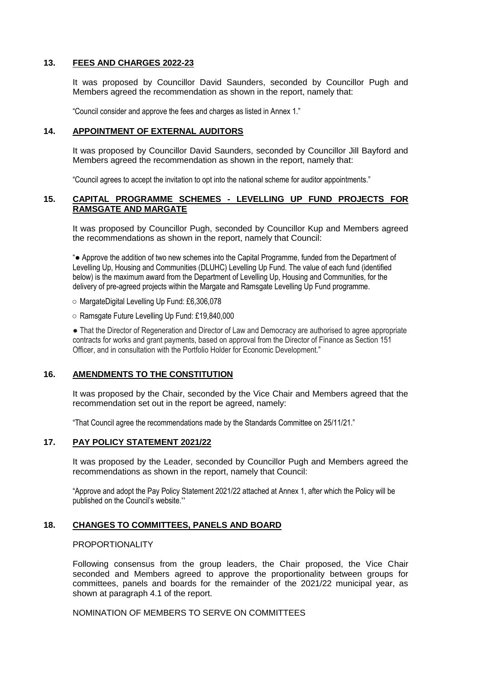#### **13. FEES AND CHARGES 2022-23**

It was proposed by Councillor David Saunders, seconded by Councillor Pugh and Members agreed the recommendation as shown in the report, namely that:

"Council consider and approve the fees and charges as listed in Annex 1."

### **14. APPOINTMENT OF EXTERNAL AUDITORS**

It was proposed by Councillor David Saunders, seconded by Councillor Jill Bayford and Members agreed the recommendation as shown in the report, namely that:

"Council agrees to accept the invitation to opt into the national scheme for auditor appointments."

### **15. CAPITAL PROGRAMME SCHEMES - LEVELLING UP FUND PROJECTS FOR RAMSGATE AND MARGATE**

It was proposed by Councillor Pugh, seconded by Councillor Kup and Members agreed the recommendations as shown in the report, namely that Council:

"● Approve the addition of two new schemes into the Capital Programme, funded from the Department of Levelling Up, Housing and Communities (DLUHC) Levelling Up Fund. The value of each fund (identified below) is the maximum award from the Department of Levelling Up, Housing and Communities, for the delivery of pre-agreed projects within the Margate and Ramsgate Levelling Up Fund programme.

○ MargateDigital Levelling Up Fund: £6,306,078

○ Ramsgate Future Levelling Up Fund: £19,840,000

• That the Director of Regeneration and Director of Law and Democracy are authorised to agree appropriate contracts for works and grant payments, based on approval from the Director of Finance as Section 151 Officer, and in consultation with the Portfolio Holder for Economic Development."

## **16. AMENDMENTS TO THE CONSTITUTION**

It was proposed by the Chair, seconded by the Vice Chair and Members agreed that the recommendation set out in the report be agreed, namely:

"That Council agree the recommendations made by the Standards Committee on 25/11/21."

## **17. PAY POLICY STATEMENT 2021/22**

It was proposed by the Leader, seconded by Councillor Pugh and Members agreed the recommendations as shown in the report, namely that Council:

"Approve and adopt the Pay Policy Statement 2021/22 attached at Annex 1, after which the Policy will be published on the Council's website."

### **18. CHANGES TO COMMITTEES, PANELS AND BOARD**

#### PROPORTIONALITY

Following consensus from the group leaders, the Chair proposed, the Vice Chair seconded and Members agreed to approve the proportionality between groups for committees, panels and boards for the remainder of the 2021/22 municipal year, as shown at paragraph 4.1 of the report.

NOMINATION OF MEMBERS TO SERVE ON COMMITTEES